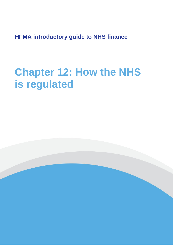**HFMA introductory guide to NHS finance**

# **Chapter 12: How the NHS is regulated**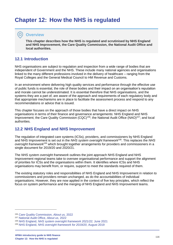# **Chapter 12: How the NHS is regulated**

### **Overview**

**This chapter describes how the NHS is regulated and scrutinised by NHS England and NHS Improvement, the Care Quality Commission, the National Audit Office and local authorities.**

# **12.1 Introduction**

NHS organisations are subject to regulation and inspection from a wide range of bodies that are independent of Government and the NHS. These include many national agencies and organisations linked to the many different professions involved in the delivery of healthcare – ranging from the Royal Colleges and the General Medical Council to HM Revenue and Customs.

In an environment where delivering high quality services and performance through the effective use of public funds is essential, the role of these bodies and their impact on an organisation's reputation and morale cannot be underestimated. It is essential therefore that NHS organisations, and the systems they are a part of, are aware of the approach and requirements of each regulatory body and that appropriate mechanisms are in place to facilitate the assessment process and respond to any recommendations or advice that is issued.

This chapter focuses on the approach of those bodies that have a direct impact on NHS organisations in terms of their finance and governance arrangements: NHS England and NHS Improvement; the Care Quality Commission (CQC)<sup>156</sup>; the National Audit Office (NAO)<sup>157</sup>; and local authorities.

## **12.2 NHS England and NHS Improvement**

The regulation of integrated care systems (ICSs), providers, and commissioners by NHS England and NHS Improvement is set out in the *NHS system oversight framework*<sup>158</sup>. This replaces the *NHS oversight framework<sup>159</sup>* which brought together arrangements for providers and commissioners in a single document for 2019/20 and 2020/21.

The *NHS system oversight framework* outlines the joint approach NHS England and NHS Improvement regional teams take to oversee organisational performance and support the alignment of priorities for ICSs and the organisations within them. It identifies where ICSs and NHS organisations may benefit from, or require, support to meet the standards required of them.

The existing statutory roles and responsibilities of NHS England and NHS Improvement in relation to commissioners and providers remain unchanged, as do the accountabilities of individual organisations. However, they are now applied in the context of five key principles, which reflect the focus on system performance and the merging of NHS England and NHS Improvement teams.

<sup>156</sup> [Care Quality Commission,](https://www.cqc.org.uk/about-us) *About us,* 2022

<sup>157</sup> [National Audit Office,](https://www.nao.org.uk/about-us/) *About us,* 2022

<sup>158</sup> NHS England, *NHS system [oversight framework 2021/22,](https://www.england.nhs.uk/publication/system-oversight-framework-2021-22/)* June 2021

<sup>159</sup> NHS England, *[NHS oversight framework for 2019/20](https://www.england.nhs.uk/publication/nhs-oversight-framework-for-2019-20/)*, August 2019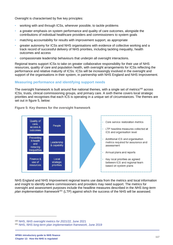Oversight is characterised by five key principles:

- working with and through ICSs, wherever possible, to tackle problems
- a greater emphasis on system performance and quality of care outcomes, alongside the contributions of individual healthcare providers and commissioners to system goals
- matching accountability for results with improvement support, as appropriate
- greater autonomy for ICSs and NHS organisations with evidence of collective working and a track record of successful delivery of NHS priorities, including tackling inequality, health outcomes and access
- compassionate leadership behaviours that underpin all oversight interactions.

Regional teams support ICSs to take on greater collaborative responsibility for their use of NHS resources, quality of care and population health, with oversight arrangements for ICSs reflecting the performance and relative maturity of ICSs. ICSs will be increasingly involved in the oversight and support of the organisations in their system, in partnership with NHS England and NHS Improvement.

#### **Measuring performance and identifying support needs**

The oversight framework is built around five national themes, with a single set of metrics<sup>160</sup> across ICSs, trusts, clinical commissioning groups, and primary care. A sixth theme covers local strategic priorities and recognises that each ICS is operating in a unique set of circumstances. The themes are set out in figure 5, below:





NHS England and NHS Improvement regional teams use data from the metrics and local information and insight to identify where commissioners and providers may need support. The metrics for oversight and assessment purposes include the headline measures described in the *NHS long term plan implementation framework*<sup>161</sup> (LTP) against which the success of the NHS will be assessed.

<sup>160</sup> NHS, *[NHS oversight metrics for 2021/22,](https://www.england.nhs.uk/wp-content/uploads/2021/06/B0693-nhs-oversight-metrics-for-2021-22.pdf)* June 2021

<sup>161</sup> NHS, *[NHS long-term plan implementation framework](https://www.longtermplan.nhs.uk/publication/implementation-framework/)*, June 2019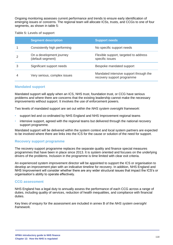Ongoing monitoring assesses current performance and trends to ensure early identification of emerging issues or concerns. The regional team will allocate ICSs, trusts, and CCGs to one of four segments, as shown in table 5:

**Table 5: Levels of support**

| <b>Segment description</b>                    | <b>Support needs</b>                                                 |
|-----------------------------------------------|----------------------------------------------------------------------|
| Consistently high performing                  | No specific support needs                                            |
| On a development journey<br>(default segment) | Flexible support, targeted to address<br>specific issues             |
| Significant support needs                     | Bespoke mandated support                                             |
| Very serious, complex issues                  | Mandated intensive support through the<br>recovery support programme |

#### **Mandated support**

Mandated support will apply when an ICS, NHS trust, foundation trust, or CCG have serious problems and where there are concerns that the existing leadership cannot make the necessary improvements without support. It involves the use of enforcement powers.

Two levels of mandated support are set out within the *NHS system oversight framework*:

- support led and co-ordinated by NHS England and NHS Improvement regional teams
- intensive support, agreed with the regional teams but delivered through the national recovery support programme.

Mandated support will be delivered within the system context and local system partners are expected to be involved where there are links into the ICS for the cause or solution of the need for support.

#### **Recovery support programme**

The recovery support programme replaces the separate quality and finance special measures programmes that have been in place since 2013. It is system oriented and focuses on the underlying drivers of the problems. Inclusion in the programme is time limited with clear exit criteria.

An experienced system improvement director will be appointed to support the ICS or organisation to develop an improvement plan with an indicative timeline for recovery. In addition, NHS England and NHS Improvement will consider whether there are any wider structural issues that impact the ICS's or organisation's ability to operate effectively.

#### **CCG assessment**

NHS England has a legal duty to annually assess the performance of each CCG across a range of duties, including quality of services, reduction of health inequalities, and compliance with financial duties.

Key lines of enquiry for the assessment are included in annex B of the *NHS system oversight framework.*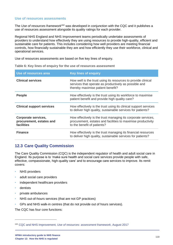#### **Use of resources assessments**

The *Use of resources framework*<sup>162</sup> was developed in conjunction with the CQC and it publishes a use of resources assessment alongside its quality ratings for each provider.

Regional NHS England and NHS Improvement teams periodically undertake assessments of providers to understand how effectively they are using resources to provide high-quality, efficient and sustainable care for patients. This includes considering how well providers are meeting financial controls, how financially sustainable they are and how efficiently they use their workforce, clinical and operational services.

Use of resources assessments are based on five key lines of enquiry.

| Use of resources area                                         | <b>Key lines of enquiry</b>                                                                                                                                  |
|---------------------------------------------------------------|--------------------------------------------------------------------------------------------------------------------------------------------------------------|
| <b>Clinical services</b>                                      | How well is the trust using its resources to provide clinical<br>services that operate as productively as possible and<br>thereby maximise patient benefit?  |
| <b>People</b>                                                 | How effectively is the trust using its workforce to maximise<br>patient benefit and provide high quality care?                                               |
| <b>Clinical support services</b>                              | How effectively is the trust using its clinical support services<br>to deliver high quality, sustainable services for patients?                              |
| Corporate services,<br>procurement, estates and<br>facilities | How effectively is the trust managing its corporate services,<br>procurement, estates and facilities to maximise productivity<br>to the benefit of patients? |
| <b>Finance</b>                                                | How effectively is the trust managing its financial resources<br>to deliver high quality, sustainable services for patients?                                 |

**Table 6: Key lines of enquiry for the use of resources assessment**

# **12.3 Care Quality Commission**

The Care Quality Commission (CQC) is the independent regulator of health and adult social care in England. Its purpose is to 'make sure health and social care services provide people with safe, effective, compassionate, high-quality care' and to encourage care services to improve. Its remit covers:

- **NHS** providers
- adult social care providers
- independent healthcare providers
- dentists
- private ambulances
- NHS out-of-hours services (that are not GP practices)
- GPs and NHS walk-in centres (that do not provide out of hours services).

The CQC has four core functions:

<sup>162</sup> CQC and NHS Improvement, *[Use of resources: assessment framework](https://www.england.nhs.uk/wp-content/uploads/2020/08/Use_of_Resources_assessment_framework_final.pdf)*, August 2017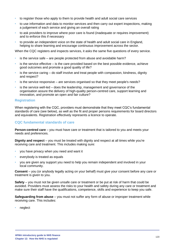- to register those who apply to them to provide health and adult social care services
- to use information and data to monitor services and then carry out expert inspections, making a judgement of each service and giving an overall rating
- to ask providers to improve where poor care is found (inadequate or requires improvement) and to enforce this if necessary
- to provide an independent voice on the state of health and adult social care in England, helping to share learning and encourage continuous improvement across the sector.

When the CQC registers and inspects services, it asks the same five questions of every service.

- is the service safe are people protected from abuse and avoidable harm?
- is the service effective is the care provided based on the best possible evidence, achieve good outcomes and promote a good quality of life?
- is the service caring do staff involve and treat people with compassion, kindness, dignity and respect?
- is the service responsive are services organised so that they meet people's needs?
- is the service well-led does the leadership, management and governance of the organisation assure the delivery of high-quality person-centred care, support learning and innovation, and promote an open and fair culture?

#### **Registration**

When registering with the CQC, providers must demonstrate that they meet CQC's fundamental standards of care (see below), as well as the fit and proper persons requirements for board directors and equivalents. Registration effectively represents a licence to operate.

#### **CQC fundamental standards of care**

**Person-centred care** – you must have care or treatment that is tailored to you and meets your needs and preferences.

**Dignity and respect** – you must be treated with dignity and respect at all times while you're receiving care and treatment. This includes making sure:

- you have privacy when you need and want it
- everybody is treated as equals
- you are given any support you need to help you remain independent and involved in your local community.

**Consent** – you (or anybody legally acting on your behalf) must give your consent before any care or treatment is given to you.

**Safety** – you must not be given unsafe care or treatment or be put at risk of harm that could be avoided. Providers must assess the risks to your health and safety during any care or treatment and make sure their staff have the qualifications, competence, skills and experience to keep you safe.

**Safeguarding from abuse** – you must not suffer any form of abuse or improper treatment while receiving care. This includes:

• neglect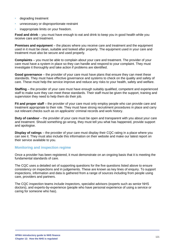- degrading treatment
- unnecessary or disproportionate restraint
- inappropriate limits on your freedom.

**Food and drink** – you must have enough to eat and drink to keep you in good health while you receive care and treatment.

**Premises and equipment** – the places where you receive care and treatment and the equipment used in it must be clean, suitable and looked after properly. The equipment used in your care and treatment must also be secure and used properly.

**Complaints** – you must be able to complain about your care and treatment. The provider of your care must have a system in place so they can handle and respond to your complaint. They must investigate it thoroughly and take action if problems are identified.

**Good governance** – the provider of your care must have plans that ensure they can meet these standards. They must have effective governance and systems to check on the quality and safety of care. These must help the service improve and reduce any risks to your health, safety and welfare.

**Staffing** – the provider of your care must have enough suitably qualified, competent and experienced staff to make sure they can meet these standards. Their staff must be given the support, training and supervision they need to help them do their job.

**Fit and proper staff** – the provider of your care must only employ people who can provide care and treatment appropriate to their role. They must have strong recruitment procedures in place and carry out relevant checks such as on applicants' criminal records and work history.

**Duty of candour** – the provider of your care must be open and transparent with you about your care and treatment. Should something go wrong, they must tell you what has happened, provide support and apologise.

**Display of ratings** – the provider of your care must display their CQC rating in a place where you can see it. They must also include this information on their website and make our latest report on their service available to you.

#### **Monitoring and inspection regime**

Once a provider has been registered, it must demonstrate on an ongoing basis that it is meeting the fundamental standards of care.

The CQC uses a detailed set of supporting questions for the five questions listed above to ensure consistency on inspections and in judgements. These are known as key lines of enquiry. To support inspections, information and data is gathered from a range of sources including from people using care, providers and partners.

The CQC inspection teams include inspectors, specialist advisors (experts such as senior NHS doctors), and experts-by-experience (people who have personal experience of using a service or caring for someone who has).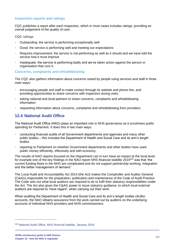#### **Inspection reports and ratings**

CQC publishes a report after each inspection, which in most cases includes ratings, providing an overall judgement of the quality of care.

#### **CQC ratings**

- Outstanding: the service is performing exceptionally well
- Good: the service is performing well and meeting our expectations
- Requires improvement: the service is not performing as well as it should and we have told the service how it must improve
- Inadequate: the service is performing badly and we've taken action against the person or organisation that runs it.

#### **Concerns, complaints and whistleblowing**

The CQC also gathers information about concerns raised by people using services and staff in three main ways:

- encouraging people and staff to make contact through its website and phone line, and providing opportunities to share concerns with inspectors during visits
- asking national and local partners to share concerns, complaints and whistleblowing information
- requesting information about concerns, complaints and whistleblowing from providers.

# **12.4 National Audit Office**

The National Audit Office (NAO) plays an important role in NHS governance as it scrutinises public spending for Parliament. It does this in two main ways:

- conducting financial audits of all Government departments and agencies and many other public bodies – this includes the Department of Health and Social Care and its arm's length bodies
- reporting to Parliament on whether Government departments and other bodies have used public money efficiently, effectively and with economy.

The results of NAO reports focused on the Department can in turn have an impact at the local level, for example one of the key findings in the NAO report *NHS financial stability 2019*<sup>163</sup> was that 'the current funding flows in the NHS are complicated and do not support partnership working, integration and the better management of demand.'

The Local Audit and Accountability Act 2014 (the Act) makes the Comptroller and Auditor General (C&AG) responsible for the preparation, publication and maintenance of the Code of Audit Practice. The Code sets out what local auditors are required to do to fulfil their statutory responsibilities under the Act. The Act also gives the C&AG power to issue statutory guidance, to which local external auditors are required to 'have regard', when carrying out their work.

When auditing the Department of Health and Social Care and its arm's length bodies (ALBs) accounts, the NAO obtains assurance from the work carried out by auditors on the underlying accounts of individual NHS providers and NHS commissioners.

<sup>163</sup> National Audit Office, *[NHS financial stability,](https://www.nao.org.uk/wp-content/uploads/2019/01/NHS-financial-sustainability_.pdf)* January 2019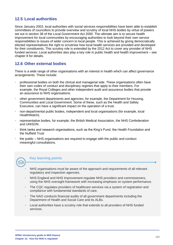# **12.5 Local authorities**

Since January 2003, local authorities with social services responsibilities have been able to establish committees of councillors to provide overview and scrutiny of local NHS bodies by virtue of powers set out in section 38 of the Local Government Act 2000. The ultimate aim is to secure health improvement for local communities by encouraging authorities to look beyond their own service responsibilities to issues of wider concern to local people. This is achieved by giving democratically elected representatives the right to scrutinise how local health services are provided and developed for their constituents. This scrutiny role is extended by the 2012 Act to cover any provider of NHS funded services. Local authorities also play a key role in public health and health improvement – see chapter 8 for details.

# **12.6 Other external bodies**

There is a wide range of other organisations with an interest in health which can affect governance arrangements. These include:

- professional bodies on both the clinical and managerial side. These organisations often have their own codes of conduct and disciplinary regimes that apply to their members. For example, the Royal Colleges and other independent audit and assurance bodies that provide an assurance to NHS organisations.
- other government departments and agencies, for example, the Department for Housing, Communities and Local Government. Some of these, such as the Health and Safety Executive, can have a significant impact on the operation of a trust.
- non-departmental public bodies, independent and local organisations (for example, local HealthWatch).
- representative bodies, for example, the British Medical Association, the NHS Confederation and UNISON.
- think tanks and research organisations, such as the King's Fund, the Health Foundation and the Nuffield Trust
- the public NHS organisations are required to engage with the public and conduct meaningful consultations.



#### **Key learning points**

- NHS organisations must be aware of the approach and requirements of all relevant regulatory and inspection agencies.
- NHS England and NHS Improvement regulate NHS providers and commissioners, using the NHS oversight framework with increasing emphasis on system performance.
- The CQC regulates providers of healthcare services via a system of registration and compliance with fundamental standards of care.
- The NAO conducts financial audits of all government departments including the Department of Health and Social Care and its ALBs.
- Local authorities have a scrutiny role that extends to all providers of NHS funded services.